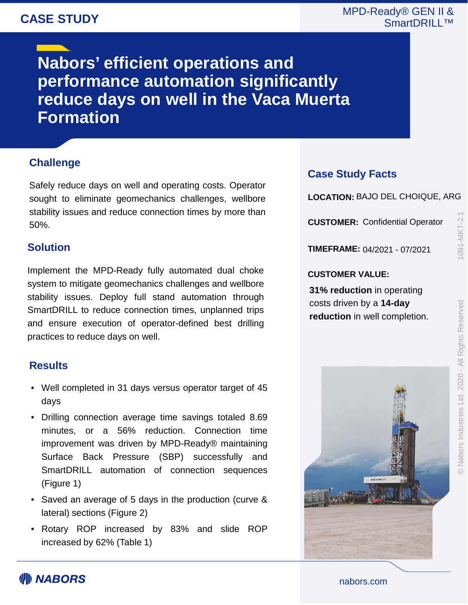# **CASE STUDY**

### MPD-Ready® GEN II & SmartDRILL™

**Nabors' efficient operations and performance automation significantly reduce days on well in the Vaca Muerta Formation**

# **Challenge**

Safely reduce days on well and operating costs. Operator sought to eliminate geomechanics challenges, wellbore stability issues and reduce connection times by more than 50%.

#### **Solution**

Implement the MPD-Ready fully automated dual choke system to mitigate geomechanics challenges and wellbore stability issues. Deploy full stand automation through SmartDRILL to reduce connection times, unplanned trips and ensure execution of operator-defined best drilling practices to reduce days on well.

#### **Results**

- Well completed in 31 days versus operator target of 45 days
- Drilling connection average time savings totaled 8.69 minutes, or a 56% reduction. Connection time improvement was driven by MPD-Ready® maintaining Surface Back Pressure (SBP) successfully and SmartDRILL automation of connection sequences (Figure 1)
- Saved an average of 5 days in the production (curve & lateral) sections (Figure 2)
- Rotary ROP increased by 83% and slide ROP increased by 62% (Table 1)

### **Case Study Facts**

**LOCATION:** BAJO DEL CHOIQUE, ARG

**CUSTOMER:** Confidential Operator

**TIMEFRAME:** 04/2021 - 07/2021

#### **CUSTOMER VALUE:**

**31% reduction** in operating costs driven by a **14-day reduction** in well completion. 091-MKT-2.